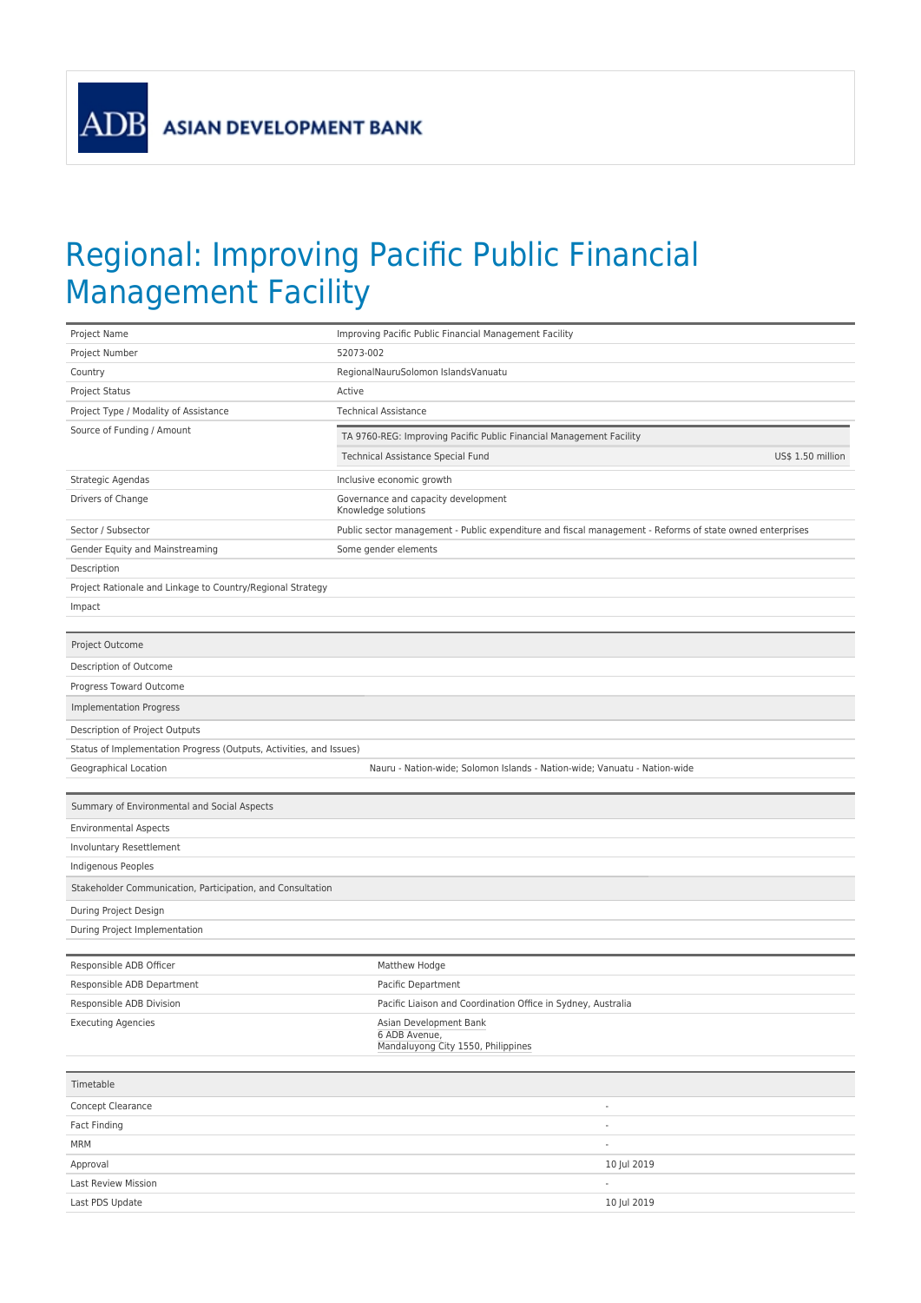**ADB** 

## Regional: Improving Pacific Public Financial Management Facility

| Project Name                                                        | Improving Pacific Public Financial Management Facility                                                   |  |  |  |
|---------------------------------------------------------------------|----------------------------------------------------------------------------------------------------------|--|--|--|
| Project Number                                                      | 52073-002                                                                                                |  |  |  |
| Country                                                             | RegionalNauruSolomon IslandsVanuatu                                                                      |  |  |  |
| Project Status                                                      | Active                                                                                                   |  |  |  |
| Project Type / Modality of Assistance                               | <b>Technical Assistance</b>                                                                              |  |  |  |
| Source of Funding / Amount                                          | TA 9760-REG: Improving Pacific Public Financial Management Facility                                      |  |  |  |
|                                                                     | Technical Assistance Special Fund<br>US\$ 1.50 million                                                   |  |  |  |
| Strategic Agendas                                                   | Inclusive economic growth                                                                                |  |  |  |
| Drivers of Change                                                   | Governance and capacity development                                                                      |  |  |  |
|                                                                     | Knowledge solutions                                                                                      |  |  |  |
| Sector / Subsector                                                  | Public sector management - Public expenditure and fiscal management - Reforms of state owned enterprises |  |  |  |
| Gender Equity and Mainstreaming                                     | Some gender elements                                                                                     |  |  |  |
| Description                                                         |                                                                                                          |  |  |  |
| Project Rationale and Linkage to Country/Regional Strategy          |                                                                                                          |  |  |  |
| Impact                                                              |                                                                                                          |  |  |  |
| Project Outcome                                                     |                                                                                                          |  |  |  |
|                                                                     |                                                                                                          |  |  |  |
| Description of Outcome<br>Progress Toward Outcome                   |                                                                                                          |  |  |  |
|                                                                     |                                                                                                          |  |  |  |
| <b>Implementation Progress</b>                                      |                                                                                                          |  |  |  |
| Description of Project Outputs                                      |                                                                                                          |  |  |  |
| Status of Implementation Progress (Outputs, Activities, and Issues) |                                                                                                          |  |  |  |
| Geographical Location                                               | Nauru - Nation-wide; Solomon Islands - Nation-wide; Vanuatu - Nation-wide                                |  |  |  |
| Summary of Environmental and Social Aspects                         |                                                                                                          |  |  |  |
| <b>Environmental Aspects</b>                                        |                                                                                                          |  |  |  |
| Involuntary Resettlement                                            |                                                                                                          |  |  |  |
| Indigenous Peoples                                                  |                                                                                                          |  |  |  |
| Stakeholder Communication, Participation, and Consultation          |                                                                                                          |  |  |  |
| During Project Design                                               |                                                                                                          |  |  |  |
| During Project Implementation                                       |                                                                                                          |  |  |  |
|                                                                     |                                                                                                          |  |  |  |
| Responsible ADB Officer                                             | Matthew Hodge                                                                                            |  |  |  |
| Responsible ADB Department                                          | Pacific Department                                                                                       |  |  |  |
| Responsible ADB Division                                            | Pacific Liaison and Coordination Office in Sydney, Australia                                             |  |  |  |
| <b>Executing Agencies</b>                                           | Asian Development Bank<br>6 ADB Avenue,<br>Mandaluyong City 1550, Philippines                            |  |  |  |
|                                                                     |                                                                                                          |  |  |  |
| Timetable<br>Concept Clearance                                      | $\overline{\phantom{a}}$                                                                                 |  |  |  |
| Fact Finding                                                        | $\overline{\phantom{a}}$                                                                                 |  |  |  |
| <b>MRM</b>                                                          | $\overline{\phantom{a}}$                                                                                 |  |  |  |
| Approval                                                            | 10 Jul 2019                                                                                              |  |  |  |
| Last Review Mission                                                 |                                                                                                          |  |  |  |
| Last PDS Update                                                     | 10 Jul 2019                                                                                              |  |  |  |
|                                                                     |                                                                                                          |  |  |  |